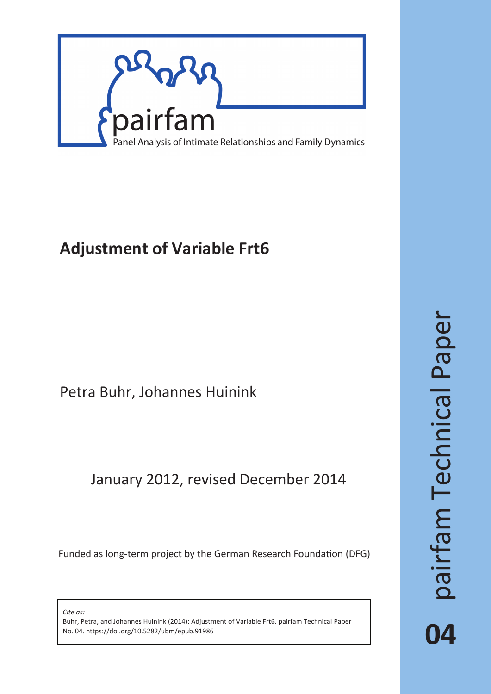

# **Adjustment of Variable Frt6**

## Petra Buhr, Johannes Huinink

## January 2012, revised December 2014

Funded as long-term project by the German Research Foundation (DFG)

*Cite as:*

Buhr, Petra, and Johannes Huinink (2014): Adjustment of Variable Frt6. pairfam Technical Paper No. 04. https://doi.org/10.5282/ubm/epub.91986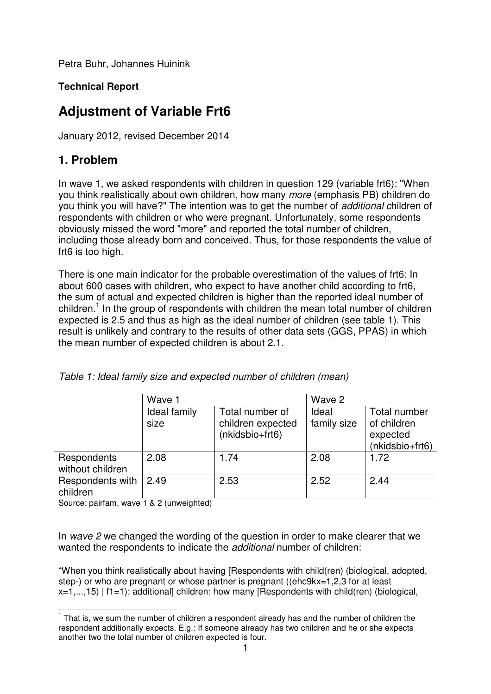Petra Buhr, Johannes Huinink

### **Technical Report**

### **Adjustment of Variable Frt6**

January 2012, revised December 2014

### **1. Problem**

In wave 1, we asked respondents with children in question 129 (variable frt6): "When you think realistically about own children, how many more (emphasis PB) children do you think you will have?" The intention was to get the number of additional children of respondents with children or who were pregnant. Unfortunately, some respondents obviously missed the word "more" and reported the total number of children, including those already born and conceived. Thus, for those respondents the value of frt6 is too high.

There is one main indicator for the probable overestimation of the values of frt6: In about 600 cases with children, who expect to have another child according to frt6, the sum of actual and expected children is higher than the reported ideal number of children.<sup>1</sup> In the group of respondents with children the mean total number of children expected is 2.5 and thus as high as the ideal number of children (see table 1). This result is unlikely and contrary to the results of other data sets (GGS, PPAS) in which the mean number of expected children is about 2.1.

|                                 | Wave 1               |                                                         | Wave 2               |                                                            |
|---------------------------------|----------------------|---------------------------------------------------------|----------------------|------------------------------------------------------------|
|                                 | Ideal family<br>size | Total number of<br>children expected<br>(nkidsbio+frt6) | Ideal<br>family size | Total number<br>of children<br>expected<br>(nkidsbio+frt6) |
| Respondents<br>without children | 2.08                 | 1.74                                                    | 2.08                 | 1.72                                                       |
| Respondents with<br>children    | 2.49                 | 2.53                                                    | 2.52                 | 2.44                                                       |

Table 1: Ideal family size and expected number of children (mean)

Source: pairfam, wave 1 & 2 (unweighted)

In wave 2 we changed the wording of the question in order to make clearer that we wanted the respondents to indicate the *additional* number of children:

"When you think realistically about having [Respondents with child(ren) (biological, adopted, step-) or who are pregnant or whose partner is pregnant ((ehc9kx=1,2,3 for at least  $x=1,...,15$  | f1=1): additional] children: how many [Respondents with child(ren) (biological,

**That is, we sum the number of children a respondent already has and the number of children the** respondent additionally expects. E.g.: If someone already has two children and he or she expects another two the total number of children expected is four.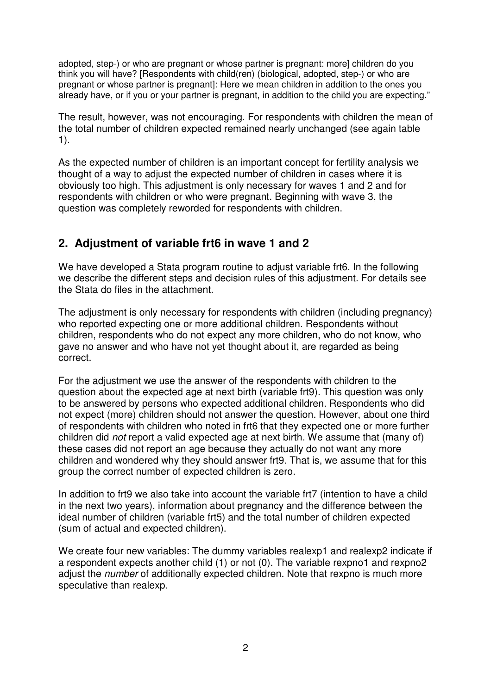adopted, step-) or who are pregnant or whose partner is pregnant: more] children do you think you will have? [Respondents with child(ren) (biological, adopted, step-) or who are pregnant or whose partner is pregnant]: Here we mean children in addition to the ones you already have, or if you or your partner is pregnant, in addition to the child you are expecting."

The result, however, was not encouraging. For respondents with children the mean of the total number of children expected remained nearly unchanged (see again table 1).

As the expected number of children is an important concept for fertility analysis we thought of a way to adjust the expected number of children in cases where it is obviously too high. This adjustment is only necessary for waves 1 and 2 and for respondents with children or who were pregnant. Beginning with wave 3, the question was completely reworded for respondents with children.

### **2. Adjustment of variable frt6 in wave 1 and 2**

We have developed a Stata program routine to adjust variable frt6. In the following we describe the different steps and decision rules of this adjustment. For details see the Stata do files in the attachment.

The adjustment is only necessary for respondents with children (including pregnancy) who reported expecting one or more additional children. Respondents without children, respondents who do not expect any more children, who do not know, who gave no answer and who have not yet thought about it, are regarded as being correct.

For the adjustment we use the answer of the respondents with children to the question about the expected age at next birth (variable frt9). This question was only to be answered by persons who expected additional children. Respondents who did not expect (more) children should not answer the question. However, about one third of respondents with children who noted in frt6 that they expected one or more further children did not report a valid expected age at next birth. We assume that (many of) these cases did not report an age because they actually do not want any more children and wondered why they should answer frt9. That is, we assume that for this group the correct number of expected children is zero.

In addition to frt9 we also take into account the variable frt7 (intention to have a child in the next two years), information about pregnancy and the difference between the ideal number of children (variable frt5) and the total number of children expected (sum of actual and expected children).

We create four new variables: The dummy variables realexp1 and realexp2 indicate if a respondent expects another child (1) or not (0). The variable rexpno1 and rexpno2 adjust the *number* of additionally expected children. Note that rexpno is much more speculative than realexp.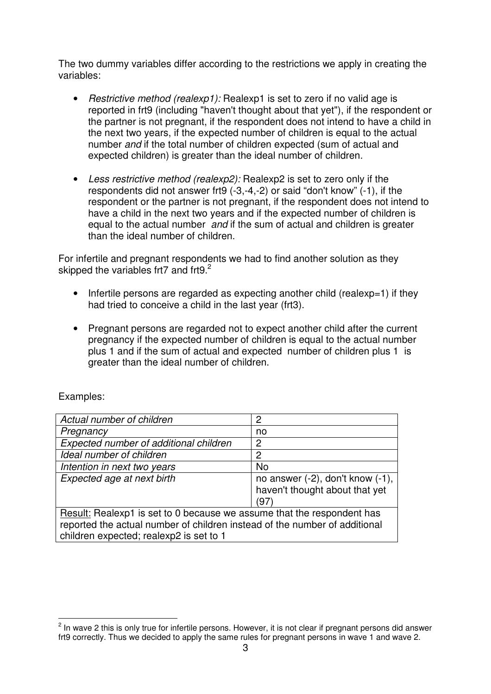The two dummy variables differ according to the restrictions we apply in creating the variables:

- Restrictive method (realexp1): Realexp1 is set to zero if no valid age is reported in frt9 (including "haven't thought about that yet"), if the respondent or the partner is not pregnant, if the respondent does not intend to have a child in the next two years, if the expected number of children is equal to the actual number and if the total number of children expected (sum of actual and expected children) is greater than the ideal number of children.
- Less restrictive method (realexp2): Realexp2 is set to zero only if the respondents did not answer frt9 (-3,-4,-2) or said "don't know" (-1), if the respondent or the partner is not pregnant, if the respondent does not intend to have a child in the next two years and if the expected number of children is equal to the actual number and if the sum of actual and children is greater than the ideal number of children.

For infertile and pregnant respondents we had to find another solution as they skipped the variables frt7 and frt9. $2$ 

- Infertile persons are regarded as expecting another child (realexp=1) if they had tried to conceive a child in the last year (frt3).
- Pregnant persons are regarded not to expect another child after the current pregnancy if the expected number of children is equal to the actual number plus 1 and if the sum of actual and expected number of children plus 1 is greater than the ideal number of children.

| Actual number of children                                                                                                                                                                       | 2                                                                               |  |
|-------------------------------------------------------------------------------------------------------------------------------------------------------------------------------------------------|---------------------------------------------------------------------------------|--|
| Pregnancy                                                                                                                                                                                       | no                                                                              |  |
| Expected number of additional children                                                                                                                                                          | 2                                                                               |  |
| Ideal number of children                                                                                                                                                                        | 2                                                                               |  |
| Intention in next two years                                                                                                                                                                     | <b>No</b>                                                                       |  |
| Expected age at next birth                                                                                                                                                                      | no answer $(-2)$ , don't know $(-1)$ ,<br>haven't thought about that yet<br>'97 |  |
| Result: Realexp1 is set to 0 because we assume that the respondent has<br>reported the actual number of children instead of the number of additional<br>children expected; realexp2 is set to 1 |                                                                                 |  |

#### Examples:

<sup>&</sup>lt;u>2</u><br><sup>2</sup> In wave 2 this is only true for infertile persons. However, it is not clear if pregnant persons did answer frt9 correctly. Thus we decided to apply the same rules for pregnant persons in wave 1 and wave 2.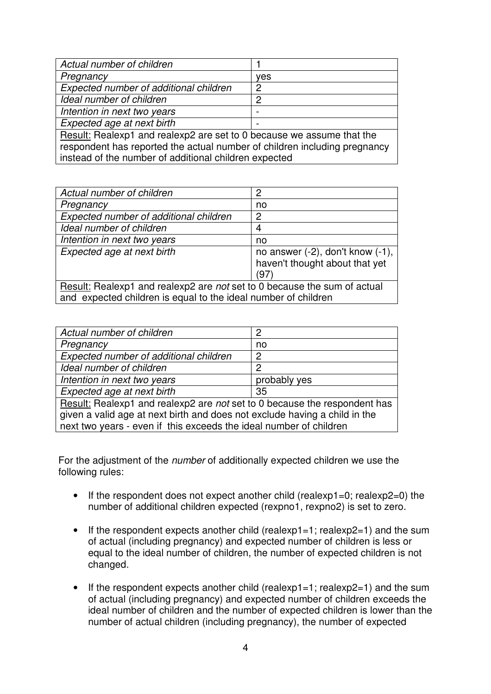| Actual number of children                                                                                                                          |     |  |
|----------------------------------------------------------------------------------------------------------------------------------------------------|-----|--|
| Pregnancy                                                                                                                                          | ves |  |
| Expected number of additional children                                                                                                             | 2   |  |
| Ideal number of children                                                                                                                           | 2   |  |
| Intention in next two years                                                                                                                        |     |  |
| Expected age at next birth                                                                                                                         |     |  |
| Result: Realexp1 and realexp2 are set to 0 because we assume that the<br>respondent has reported the actual number of children including pregnancy |     |  |
| instead of the number of additional children expected                                                                                              |     |  |

| Actual number of children                                                                                                                  | 2                                                                                |  |
|--------------------------------------------------------------------------------------------------------------------------------------------|----------------------------------------------------------------------------------|--|
| Pregnancy                                                                                                                                  | no                                                                               |  |
| Expected number of additional children                                                                                                     | 2                                                                                |  |
| Ideal number of children                                                                                                                   | 4                                                                                |  |
| Intention in next two years                                                                                                                | no                                                                               |  |
| Expected age at next birth                                                                                                                 | no answer $(-2)$ , don't know $(-1)$ ,<br>haven't thought about that yet<br>(97) |  |
| Result: Realexp1 and realexp2 are not set to 0 because the sum of actual<br>and expected children is equal to the ideal number of children |                                                                                  |  |

| Actual number of children                                                  | 2              |  |
|----------------------------------------------------------------------------|----------------|--|
| Pregnancy                                                                  | no             |  |
| Expected number of additional children                                     | 2              |  |
| Ideal number of children                                                   | $\overline{2}$ |  |
| Intention in next two years                                                | probably yes   |  |
| Expected age at next birth                                                 | 35             |  |
| Result: Realexp1 and realexp2 are not set to 0 because the respondent has  |                |  |
| given a valid age at next birth and does not exclude having a child in the |                |  |
| next two years - even if this exceeds the ideal number of children         |                |  |
|                                                                            |                |  |

For the adjustment of the number of additionally expected children we use the following rules:

- If the respondent does not expect another child (realexp1=0; realexp2=0) the number of additional children expected (rexpno1, rexpno2) is set to zero.
- If the respondent expects another child (realexp1=1; realexp2=1) and the sum of actual (including pregnancy) and expected number of children is less or equal to the ideal number of children, the number of expected children is not changed.
- If the respondent expects another child (realexp1=1; realexp2=1) and the sum of actual (including pregnancy) and expected number of children exceeds the ideal number of children and the number of expected children is lower than the number of actual children (including pregnancy), the number of expected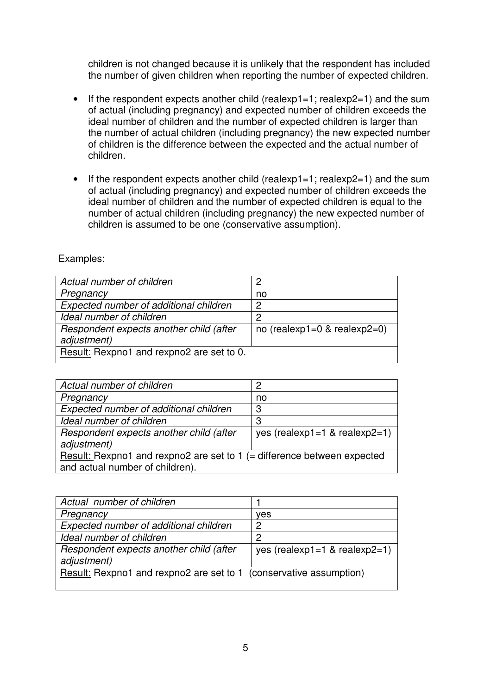children is not changed because it is unlikely that the respondent has included the number of given children when reporting the number of expected children.

- If the respondent expects another child (realexp1=1; realexp2=1) and the sum of actual (including pregnancy) and expected number of children exceeds the ideal number of children and the number of expected children is larger than the number of actual children (including pregnancy) the new expected number of children is the difference between the expected and the actual number of children.
- If the respondent expects another child (realexp1=1; realexp2=1) and the sum of actual (including pregnancy) and expected number of children exceeds the ideal number of children and the number of expected children is equal to the number of actual children (including pregnancy) the new expected number of children is assumed to be one (conservative assumption).

| Actual number of children                              | 2                               |
|--------------------------------------------------------|---------------------------------|
| Pregnancy                                              | no                              |
| Expected number of additional children                 | 2                               |
| Ideal number of children                               | 2                               |
| Respondent expects another child (after<br>adjustment) | no (realexp1=0 $\&$ realexp2=0) |
| Result: Rexpno1 and rexpno2 are set to 0.              |                                 |

Examples:

| Actual number of children                                                  | 2                             |  |
|----------------------------------------------------------------------------|-------------------------------|--|
| Pregnancy                                                                  | no                            |  |
| Expected number of additional children                                     | 3                             |  |
| Ideal number of children                                                   | 3                             |  |
| Respondent expects another child (after<br>adjustment)                     | yes (realexp1=1 & realexp2=1) |  |
| Result: Rexpno1 and rexpno2 are set to 1 ( $=$ difference between expected |                               |  |
| and actual number of children).                                            |                               |  |

| Actual number of children                                          |                               |  |
|--------------------------------------------------------------------|-------------------------------|--|
| Pregnancy                                                          | ves                           |  |
| Expected number of additional children                             | ႒                             |  |
| Ideal number of children                                           | 2                             |  |
| Respondent expects another child (after<br>adjustment)             | yes (realexp1=1 & realexp2=1) |  |
| Result: Rexpno1 and rexpno2 are set to 1 (conservative assumption) |                               |  |